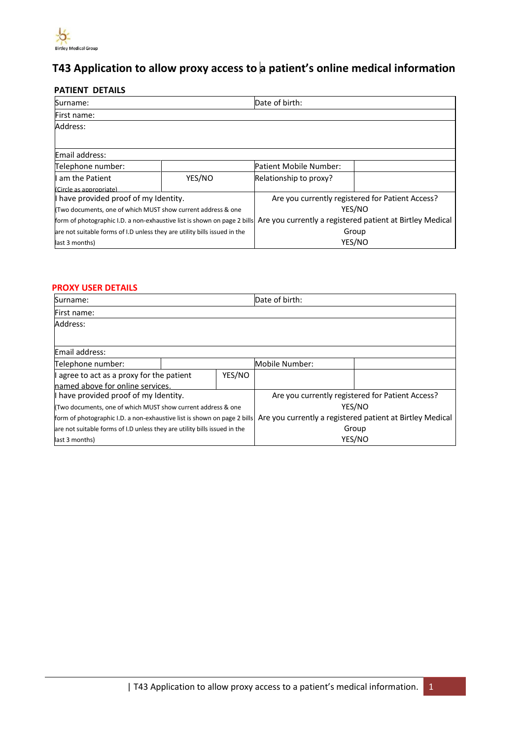

# **T43 Application to allow proxy access to a patient's online medical information**

### **PATIENT DETAILS**

| Surname:                                                                  |                        | Date of birth:                                            |  |
|---------------------------------------------------------------------------|------------------------|-----------------------------------------------------------|--|
| First name:                                                               |                        |                                                           |  |
| Address:                                                                  |                        |                                                           |  |
|                                                                           |                        |                                                           |  |
| Email address:                                                            |                        |                                                           |  |
| Telephone number:                                                         | Patient Mobile Number: |                                                           |  |
| I am the Patient                                                          | YES/NO                 | Relationship to proxy?                                    |  |
| (Circle as appropriate)                                                   |                        |                                                           |  |
| I have provided proof of my Identity.                                     |                        | Are you currently registered for Patient Access?          |  |
| (Two documents, one of which MUST show current address & one              |                        | YES/NO                                                    |  |
| form of photographic I.D. a non-exhaustive list is shown on page 2 bills  |                        | Are you currently a registered patient at Birtley Medical |  |
| are not suitable forms of I.D unless they are utility bills issued in the |                        | Group                                                     |  |
| last 3 months)                                                            |                        | YES/NO                                                    |  |

### **PROXY USER DETAILS**

| Surname:                                                                  |                | Date of birth:                                            |  |  |
|---------------------------------------------------------------------------|----------------|-----------------------------------------------------------|--|--|
| First name:                                                               |                |                                                           |  |  |
| Address:                                                                  |                |                                                           |  |  |
|                                                                           |                |                                                           |  |  |
| Email address:                                                            |                |                                                           |  |  |
| Telephone number:                                                         | Mobile Number: |                                                           |  |  |
| YES/NO<br>agree to act as a proxy for the patient                         |                |                                                           |  |  |
| lnamed above for online services.                                         |                |                                                           |  |  |
| I have provided proof of my Identity.                                     |                | Are you currently registered for Patient Access?          |  |  |
| (Two documents, one of which MUST show current address & one              |                | YES/NO                                                    |  |  |
| form of photographic I.D. a non-exhaustive list is shown on page 2 bills  |                | Are you currently a registered patient at Birtley Medical |  |  |
| are not suitable forms of I.D unless they are utility bills issued in the |                | Group                                                     |  |  |
| last 3 months)                                                            |                | YES/NO                                                    |  |  |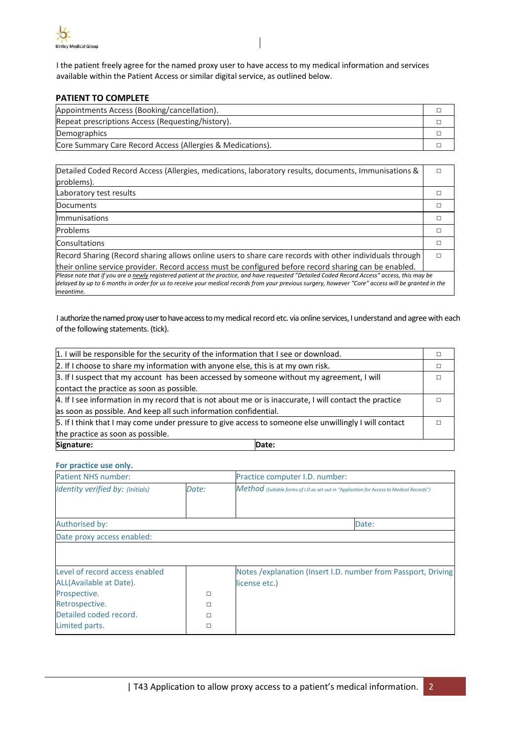

I the patient freely agree for the named proxy user to have access to my medical information and services available within the Patient Access or similar digital service, as outlined below.

#### **PATIENT TO COMPLETE**

| Appointments Access (Booking/cancellation).                |  |
|------------------------------------------------------------|--|
| Repeat prescriptions Access (Requesting/history).          |  |
| Demographics                                               |  |
| Core Summary Care Record Access (Allergies & Medications). |  |

| Detailed Coded Record Access (Allergies, medications, laboratory results, documents, Immunisations &                                               |   |
|----------------------------------------------------------------------------------------------------------------------------------------------------|---|
| problems).                                                                                                                                         |   |
| Laboratory test results                                                                                                                            | П |
| Documents                                                                                                                                          | п |
| <b>Immunisations</b>                                                                                                                               | П |
| Problems                                                                                                                                           | П |
| Consultations                                                                                                                                      | п |
| Record Sharing (Record sharing allows online users to share care records with other individuals through                                            | п |
| their online service provider. Record access must be configured before record sharing can be enabled.                                              |   |
| Please note that if you are a newly reaistered patient at the practice, and have requested "Detailed Coded Record Access" access, this may be      |   |
| delayed by up to 6 months in order for us to receive your medical records from your previous surgery, however "Core" access will be granted in the |   |
| meantime.                                                                                                                                          |   |

I authorize the named proxy user to have access to my medical record etc. via online services, I understand and agree with each of the following statements. (tick).

| 1. I will be responsible for the security of the information that I see or download.                    |       |  |
|---------------------------------------------------------------------------------------------------------|-------|--|
| 2. If I choose to share my information with anyone else, this is at my own risk.                        |       |  |
| 3. If I suspect that my account has been accessed by someone without my agreement, I will               |       |  |
| contact the practice as soon as possible.                                                               |       |  |
| 4. If I see information in my record that is not about me or is inaccurate, I will contact the practice |       |  |
| as soon as possible. And keep all such information confidential.                                        |       |  |
| 5. If I think that I may come under pressure to give access to someone else unwillingly I will contact  |       |  |
| the practice as soon as possible.                                                                       |       |  |
| Signature:                                                                                              | Date: |  |

#### **For practice use only.**

| <b>Patient NHS number:</b>       |        | Practice computer I.D. number:                                                           |
|----------------------------------|--------|------------------------------------------------------------------------------------------|
| Identity verified by: (Initials) | Date:  | Method (Suitable forms of I.D.as set out in "Application for Access to Medical Records") |
| Authorised by:                   |        | Date:                                                                                    |
| Date proxy access enabled:       |        |                                                                                          |
|                                  |        |                                                                                          |
|                                  |        |                                                                                          |
| Level of record access enabled   |        | Notes / explanation (Insert I.D. number from Passport, Driving                           |
| ALL(Available at Date).          |        | license etc.)                                                                            |
| Prospective.                     | $\Box$ |                                                                                          |
| Retrospective.                   | $\Box$ |                                                                                          |
| Detailed coded record.           | п      |                                                                                          |
| Limited parts.                   | П      |                                                                                          |